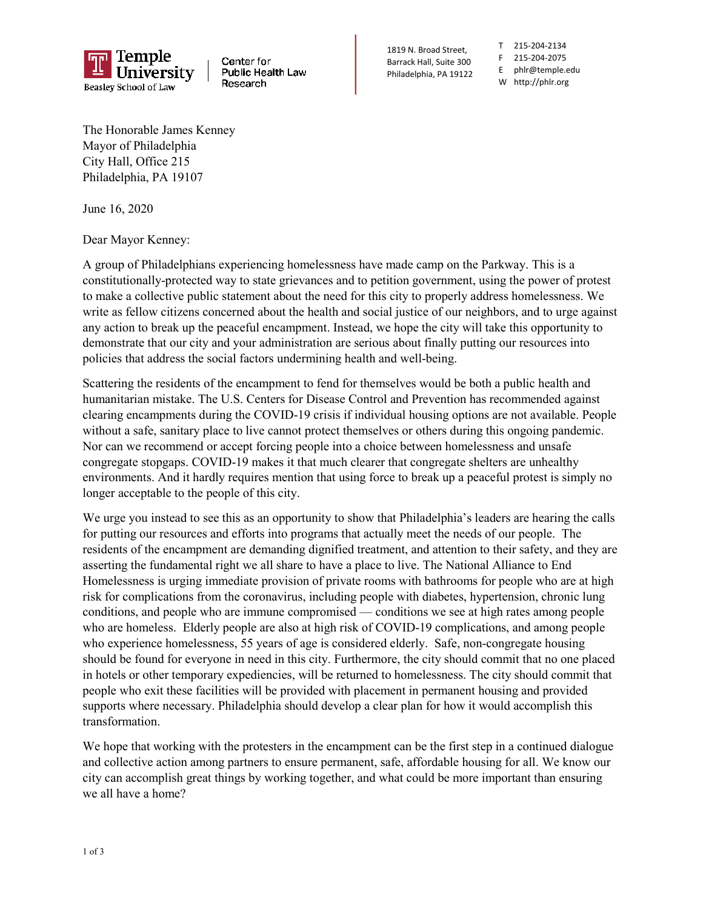

Center for Public Health Law Research

1819 N. Broad Street, Barrack Hall, Suite 300 Philadelphia, PA 19122

T 215-204-2134 F 215-204-2075 E phlr@temple.edu W http://phlr.org

The Honorable James Kenney Mayor of Philadelphia City Hall, Office 215 Philadelphia, PA 19107

June 16, 2020

Dear Mayor Kenney:

A group of Philadelphians experiencing homelessness have made camp on the Parkway. This is a constitutionally-protected way to state grievances and to petition government, using the power of protest to make a collective public statement about the need for this city to properly address homelessness. We write as fellow citizens concerned about the health and social justice of our neighbors, and to urge against any action to break up the peaceful encampment. Instead, we hope the city will take this opportunity to demonstrate that our city and your administration are serious about finally putting our resources into policies that address the social factors undermining health and well-being.

Scattering the residents of the encampment to fend for themselves would be both a public health and humanitarian mistake. The U.S. Centers for Disease Control and Prevention has recommended against clearing encampments during the COVID-19 crisis if individual housing options are not available. People without a safe, sanitary place to live cannot protect themselves or others during this ongoing pandemic. Nor can we recommend or accept forcing people into a choice between homelessness and unsafe congregate stopgaps. COVID-19 makes it that much clearer that congregate shelters are unhealthy environments. And it hardly requires mention that using force to break up a peaceful protest is simply no longer acceptable to the people of this city.

We urge you instead to see this as an opportunity to show that Philadelphia's leaders are hearing the calls for putting our resources and efforts into programs that actually meet the needs of our people. The residents of the encampment are demanding dignified treatment, and attention to their safety, and they are asserting the fundamental right we all share to have a place to live. The National Alliance to End Homelessness is urging immediate provision of private rooms with bathrooms for people who are at high risk for complications from the coronavirus, including people with diabetes, hypertension, chronic lung conditions, and people who are immune compromised — conditions we see at high rates among people who are homeless. Elderly people are also at high risk of COVID-19 complications, and among people who experience homelessness, 55 years of age is considered elderly. Safe, non-congregate housing should be found for everyone in need in this city. Furthermore, the city should commit that no one placed in hotels or other temporary expediencies, will be returned to homelessness. The city should commit that people who exit these facilities will be provided with placement in permanent housing and provided supports where necessary. Philadelphia should develop a clear plan for how it would accomplish this transformation.

We hope that working with the protesters in the encampment can be the first step in a continued dialogue and collective action among partners to ensure permanent, safe, affordable housing for all. We know our city can accomplish great things by working together, and what could be more important than ensuring we all have a home?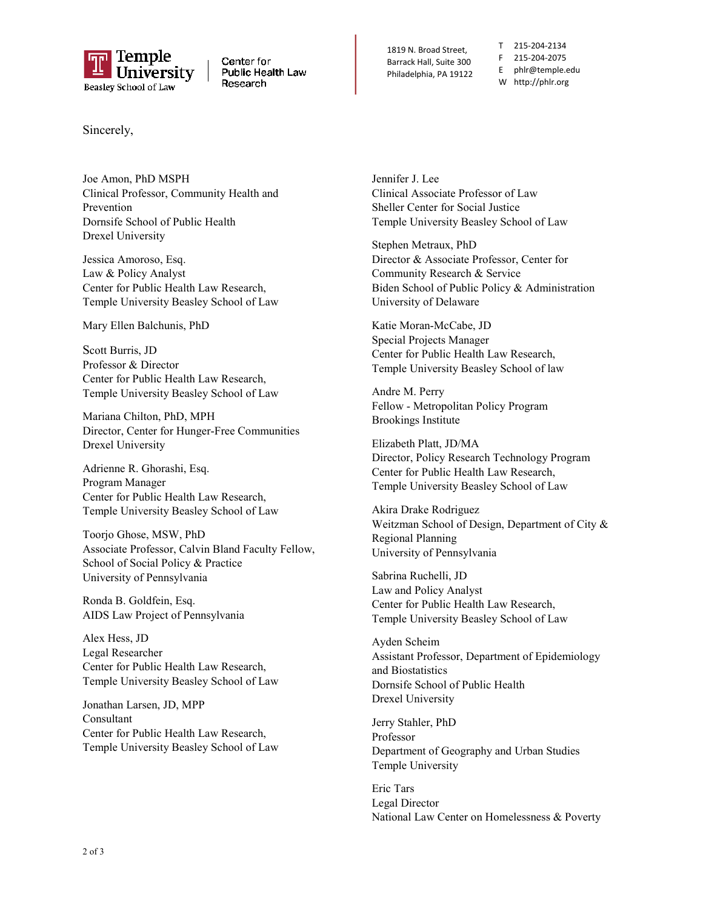

Center for Public Health Law Research

1819 N. Broad Street, Barrack Hall, Suite 300 Philadelphia, PA 19122

T 215-204-2134 F 215-204-2075 E phlr@temple.edu W http://phlr.org

Sincerely,

Joe Amon, PhD MSPH Clinical Professor, Community Health and Prevention Dornsife School of Public Health Drexel University

Jessica Amoroso, Esq. Law & Policy Analyst Center for Public Health Law Research, Temple University Beasley School of Law

Mary Ellen Balchunis, PhD

Scott Burris, JD Professor & Director Center for Public Health Law Research, Temple University Beasley School of Law

Mariana Chilton, PhD, MPH Director, Center for Hunger-Free Communities Drexel University

Adrienne R. Ghorashi, Esq. Program Manager Center for Public Health Law Research, Temple University Beasley School of Law

Toorjo Ghose, MSW, PhD Associate Professor, Calvin Bland Faculty Fellow, School of Social Policy & Practice University of Pennsylvania

Ronda B. Goldfein, Esq. AIDS Law Project of Pennsylvania

Alex Hess, JD Legal Researcher Center for Public Health Law Research, Temple University Beasley School of Law

Jonathan Larsen, JD, MPP Consultant Center for Public Health Law Research, Temple University Beasley School of Law

Jennifer J. Lee Clinical Associate Professor of Law Sheller Center for Social Justice Temple University Beasley School of Law

Stephen Metraux, PhD Director & Associate Professor, Center for Community Research & Service Biden School of Public Policy & Administration University of Delaware

Katie Moran-McCabe, JD Special Projects Manager Center for Public Health Law Research, Temple University Beasley School of law

Andre M. Perry Fellow - Metropolitan Policy Program Brookings Institute

Elizabeth Platt, JD/MA Director, Policy Research Technology Program Center for Public Health Law Research, Temple University Beasley School of Law

Akira Drake Rodriguez Weitzman School of Design, Department of City & Regional Planning University of Pennsylvania

Sabrina Ruchelli, JD Law and Policy Analyst Center for Public Health Law Research, Temple University Beasley School of Law

Ayden Scheim Assistant Professor, Department of Epidemiology and Biostatistics Dornsife School of Public Health Drexel University

Jerry Stahler, PhD Professor Department of Geography and Urban Studies Temple University

Eric Tars Legal Director National Law Center on Homelessness & Poverty